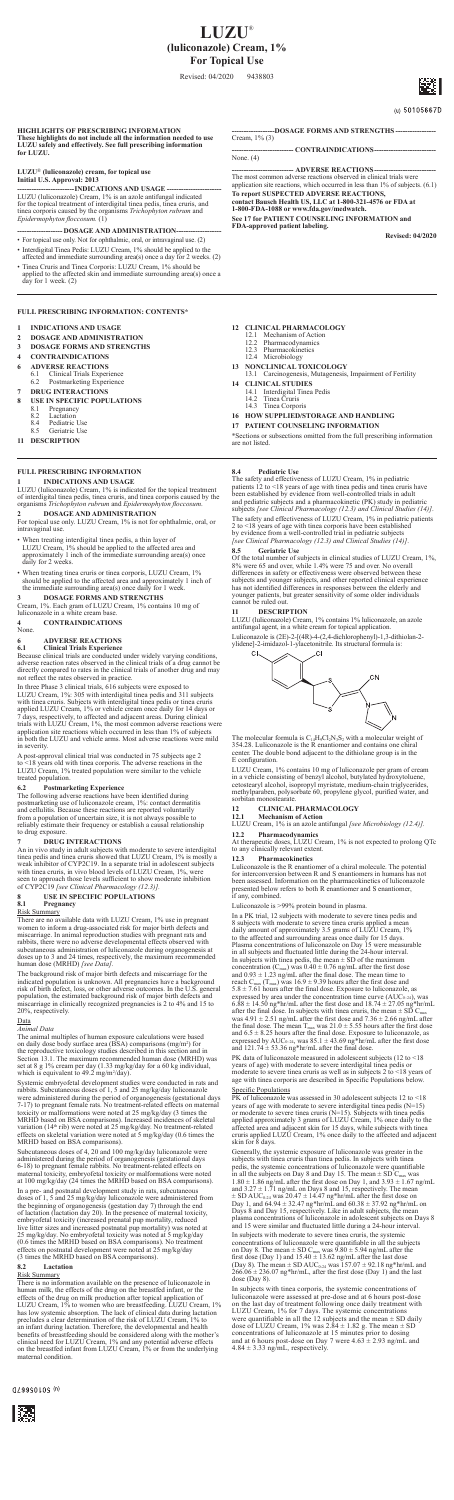**HIGHLIGHTS OF PRESCRIBING INFORMATION These highlights do not include all the information needed to use LUZU safely and effectively. See full prescribing information for LUZU.**

# **LUZU**® **(luliconazole) cream, for topical use Initial U.S. Approval: 2013**

**Example 12 Example 10 CONSTIGUARY CONSUMPLE 10 CONSUMPLE 10 CONSUMPLE 10 CONSUMPLE 10 CONSUMPLE 10 CONSUMPLE 10 CONSUMPLE 10 CONSUMPLE 10 CONSUMPLE 10 CONSUMPLE 10 CONSUMPLE 10 CONSUMPLE 10 CON** *Epidermophyton floccosum.* (1)

# -- **DOSAGE AND ADMINISTRATION---**

- For topical use only. Not for ophthalmic, oral, or intravaginal use. (2)
- Interdigital Tinea Pedis: LUZU Cream, 1% should be applied to the affected and immediate surrounding area(s) once a day for 2 weeks. (2) • Tinea Cruris and Tinea Corporis: LUZU Cream, 1% should be applied to the affected skin and immediate surrounding area(s) once a
- day for 1 week. (2)

**-DOSAGE FORMS AND STRENGTHS** Cream, 1% (3)

 $-$ **CONTRAINDICATIONS-**None. (4)

------------------------------- ADVERSE REACTIONS-------------------------------<br>The most common adverse reactions observed in clinical trials were<br>application site reactions, which occurred in less than 1% of subjects. (6

- **12 CLINICAL PHARMACOLOGY**<br>
12.1 Mechanism of Action<br>
12.2 Pharmacodynamics<br>
12.3 Pharmacokinetics
	-
	- 12.4 Microbiology
- **13 NONCLINICAL TOXICOLOGY**
- 13.1 Carcinogenesis, Mutagenesis, Impairment of Fertility
- **14 CLINICAL STUDIES** 14.1 Interdigital Tinea Pedis 14.2 Tinea Cruris 14.3 Tinea Corporis
	-
	-
- **16 HOW SUPPLIED/STORAGE AND HANDLING**
- **17 PATIENT COUNSELING INFORMATION**

**To report SUSPECTED ADVERSE REACTIONS, contact Bausch Health US, LLC at 1-800-321-4576 or FDA at 1-800-FDA-1088 or www.fda.gov/medwatch. See 17 for PATIENT COUNSELING INFORMATION and FDA-approved patient labeling.**

**Revised: 04/2020**

- **1 INDICATIONS AND USAGE**
- **2 DOSAGE AND ADMINISTRATION**
- **3 DOSAGE FORMS AND STRENGTHS**
- **4 CONTRAINDICATIONS**
- 
- 
- **6 ADVERSE REACTIONS**<br> **6.1** Clinical Trials Exper<br> **6.2** Postmarketing Exper 6.1 Clinical Trials Experience 6.2 Postmarketing Experience
- **7 DRUG INTERACTIONS**
- **8 USE IN SPECIFIC POPULATIONS**<br>8.1 Pregnancy<br>8.2 Lactation
	- Pregnancy
	- 8.2 Lactation<br>8.4 Pediatric
- 8.4 Pediatric Use 8.5 Geriatric Use
- **11 DESCRIPTION**

In three Phase 3 clinical trials, 616 subjects were exposed to<br>LUZU Cream, 1%: 305 with interdigital tinea pedis and 311 subjects<br>with tinea cruris. Subjects with interdigital tinea pedis or tinea cruris<br>applied LUZU Cream in severity.

\*Sections or subsections omitted from the full prescribing information are not listed.

**FULL PRESCRIBING INFORMATION: CONTENTS\***

**6.2 Postmarketing Experience**<br>The following adverse reactions have been identified during<br>postmarketing use of luliconazole cream, 1%: contact dermatitis<br>and cellulitis. Because these reactions are reported voluntarily from a population of uncertain size, it is not always possible to reliably estimate their frequency or establish a causal relationship to drug exposure.

**DRUG INTERACTIONS**<br>An in vivo study in adult subjects with moderate to severe interdigital<br>An in vivo study in adult subjects with moderate to severe interdigital<br>tinea pedis and timea cruris showed that LUZU Cream,  $1\%$ 

## **FULL PRESCRIBING INFORMATION**

**INDICATIONS AND USAGE**<br>LUZU (luliconazole) Cream, 1% is indicated for the topical treatment<br>of interdigital tinea pedis, tinea cruris, and tinea corporis caused by the<br>organisms *Trichophyton rubrum* and *Epidermophyton f* 

**2 DOSAGE AND ADMINISTRATION**

For topical use only. LUZU Cream, 1% is not for ophthalmic, oral, or intravaginal use.

- 
- When treating interdigital tinea pedis, a thin layer of LUZU Cream, 1% should be applied to the affected area and approximately 1 inch of the immediate surrounding area(s) once daily for 2 weeks. • When treating tinea cruris or tinea corporis, LUZU Cream, 1%
- should be applied to the affected area and approximately 1 inch of the immediate surrounding area(s) once daily for 1 week.

**3 DOSAGE FORMS AND STRENGTHS**<br>Cream, 1%. Each gram of LUZU Cream, 1% contains 10 mg of<br>luliconazole in a white cream base.

indicated population is unknown. All pregnancies have a background<br>risk of birth defect, loss, or other adverse outcomes. In the U.S. general<br>population, the estimated background risk of major birth defects and<br>miscarriage 20%, respectively.

*Animal Data* The animal multiples of human exposure calculations were based on daily dose body surface area (BSA) comparisons (mg/m<sup>2</sup>) for<br>the reproductive toxicology studies described in this section and in<br>Section 13.1. The maximum recommended human dose (MRHD) was<br>set at 8 g 1% cream per day

**4 CONTRAINDICATIONS**

None.

# **6 ADVERSE REACTIONS 6.1 Clinical Trials Experience**

Because clinical trials are conducted under widely varying conditions, adverse reaction rates observed in the clinical trials of a drug cannot be directly compared to rates in the clinical trials of another drug and may not reflect the rates observed in practice.

A post-approval clinical trial was conducted in 75 subjects age 2 to <18 years old with tinea corporis. The adverse reactions in the LUZU Cream, 1% treated population were similar to the vehicle treated population.

**8.4 Pediatric Use**<br>The safety and effectiveness of LUZU Cream, 1% in pediatric<br>patients 12 to <18 years of age with tinea pedis and tinea cruris have<br>been established by evidence from well-controlled trials in adult and pediatric subjects and a pharmacokinetic (PK) study in pediatric subjects *[see Clinical Pharmacology (12.3) and Clinical Studies (14)]*.

The safety and effectiveness of LUZU Cream, 1% in pediatric patients<br>2 to <18 years of age with tinea corporis have been established<br>by evidence from a well-controlled trial in pediatric subjects *[see Clinical Pharmacology (12.3) and Clinical Studies (14)]*.

**8.5 Geriatric Use**<br>Of the total number of subjects in clinical studies of LUZU Cream, 1%,<br>8% were 65 and over, while 1.4% were 75 and over. No overall<br>differences in safety or effectiveness were observed between these subjects and younger subjects, and other reported clinical experience<br>has not identified differences in responses between the elderly and<br>younger patients, but greater sensitivity of some older individuals<br>cannot be ruled

Luliconazole is (2E)-2-[(4R)-4-(2,4-dichlorophenyl)-1,3-dithiolan-2- ylidene]-2-imidazol-1-ylacetonitrile. Its structural formula is: CI. **CI** 



The molecular formula is  $C_{14}H_9Cl_2N_3S_2$  with a molecular weight of 354.28. Luliconazole is the R enantiomer and contains one chiral center. The double bond adjacent to the dithiolane group is in the E configuration.

LUZU Cream, 1% contains 10 mg of luliconazole per gram of cream<br>in a vehicle consisting of benzyl alcohol, butylated hydroxytoluene,<br>cetostearyl alcohol, isopropyl myristate, medium-chain triglycerides,<br>methylparaben, poly

## **8 USE IN SPECIFIC POPULATIONS**

### **8.1 Pregnancy** Risk Summary

There are no available data with LUZU Cream,  $1\%$  use in pregnant<br>women to inform a drug-associated risk for major birth defects and<br>miscarriage. In animal reproduction studies with pregnant rats and<br>rabbits, there were

The background risk of major birth defects and miscarriage for the

### Data

Systemic embryofetal development studies were conducted in rats and rabbits. Subcutaneous doses of 1, 5 and 25 mg/kg/day luliconazole<br>were administered during the period of organogenesis (gestational days<br>7-17) to pregnant female rats. No treatment-related effects on maternal<br>toxicity or m MRHD based on BSA comparisons). Increased incidences of skeletal<br>variation (14<sup>th</sup> rib) were noted at 25 mg/kg/day. No treatment-related<br>effects on skeletal variation were noted at 5 mg/kg/day (0.6 times the MRHD based on BSA comparisons).

Subcutaneous doses of 4, 20 and 100 mg/kg/day luliconazole were<br>administered during the period of organogenesis (gestational days<br>6-18) to pregnant female rabbits. No treatment-related effects on<br>maternal toxicity, embryo

In a pre- and postnatal development study in rats, subcutaneous<br>doses of 1, 5 and 25 mg/kg/day luliconazole were administered from<br>the beginning of organogenesis (gestation day 7) through the end<br>of lactation (lactation da live litter sizes and increased postnatal pup mortality) was noted at 25 mg/kg/day. No embryofetal toxicity was noted at 5 mg/kg/day (0.6 times the MRHD based on BSA comparisons). No treatment effects on postnatal develop

# **8.2 Lactation**

Risk Summary There is no information available on the presence of luliconazole in human milk, the effects of the drug on the breastfed infant, or the effects of the drug on milk production after topical application of<br>LUZU Cream, 1% to women who are breastfeeding. LUZU Cream, 1%<br>has low systemic absorption. The lack of clinical data during lactation<br>precludes a clear de an infant during lactation. Therefore, the developmental and health<br>benefits of breastfeeding should be considered along with the mother's<br>clinical need for LUZU Cream, 1% and any potential adverse effects<br>on the breastfed maternal condition.

 $019990109$  (n)



after the final dose. In subjects with tinea cruris, the mean  $\pm$  SD C<sub>max</sub><br>was 4.91  $\pm$  2.51 ng/mL after the first dose and 7.36  $\pm$  2.66 ng/mL after<br>the final dose. The mean T<sub>max</sub> was 21.0  $\pm$  5.55 hours after the

# **11 DESCRIPTION**

LUZU (luliconazole) Cream, 1% contains 1% luliconazole, an azole antifungal agent, in a white cream for topical application.

# **12 CLINICAL PHARMACOLOGY**

**12.1 Mechanism of Action** LUZU Cream, 1% is an azole antifungal *[see Microbiology (12.4)].*

**12.2 Pharmacodynamics** At therapeutic doses, LUZU Cream, 1% is not expected to prolong QTc to any clinically relevant extent.

**12.3** Pharmacokinetics<br>Luliconazole is the R enantiomer of a chiral molecule. The potential Luliconazole is the R enantiomer of a chiral molecule. The potential<br>for interconversion between R and S enantiomers in humans has not<br>been assessed. Information on the pharmacokinetics of luliconazole<br>presented below refe

Luliconazole is >99% protein bound in plasma.

In a PK trial, 12 subjects with moderate to severe tinea pedis and<br>8 subjects with moderate to severe tinea curvis applied a mean<br>daily amount of approximately 3.5 grams of LUZU Cream, 1%<br>to the affected and surrounding a

PK data of luliconazole measured in adolescent subjects (12 to <18 years of age) with moderate to severe interdigital tinea pedis or moderate to severe tinea cruris as well as in subjects 2 to <18 years of age with tinea corporis are described in Specific Populations below.

Specific Populations<br>
PK of luliconazole was assessed in 30 adolescent subjects 12 to <18<br>
years of age with moderate to severe interdigital tinea pedis (N=15)<br>
or moderate to severe tinea cruris (N=15). Subjects with tin

Generally, the systemic exposure of luliconazole was greater in the subjects with time a cursi than time a pedis. In subjects with time a pedis, the systemic concentrations of luliconazole were quantifable in all the subj and 15 were similar and fluctuated little during a 24-hour interval.

In subjects with moderate to severe tinea cruris, the systemic<br>concentrations of lulcionazole were quantifable in all the subjects<br>on Day 8. The mean  $\pm$  SD C<sub>max</sub> was 9.80  $\pm$  5.94 ng/mL after the<br>first dose (Day 1) an  $\frac{200.00 + 250.00}{200}$ 

In subjects with tinea corporis, the systemic concentrations luliconazole were assessed at pre-dose and at 6 hours post-dose<br>on the last day of treatment following once daily treatment with<br>LUZU Cream,  $1\%$  for 7 days. The systemic concentrations<br>were quantifiable in all the 12 su

# **LUZU**® **(luliconazole) Cream, 1% For Topical Use**

Revised: 04/2020 9438803



# (u) 50105667D